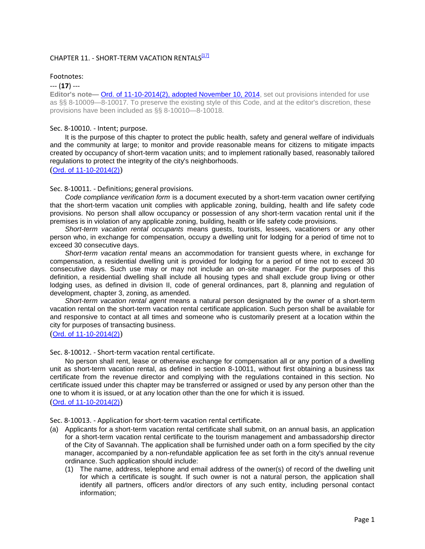# CHAPTER 11. - SHORT-TERM VACATION RENTALS<sup>[17]</sup>

## Footnotes:

## --- (**17**) ---

**Editor's note—Ord. of 11-10-2014(2), adopted November 10, 2014**, set out provisions intended for use as §§ 8-10009—8-10017. To preserve the existing style of this Code, and at the editor's discretion, these provisions have been included as §§ 8-10010—8-10018.

#### Sec. 8-10010. - Intent; purpose.

It is the purpose of this chapter to protect the public health, safety and general welfare of individuals and the community at large; to monitor and provide reasonable means for citizens to mitigate impacts created by occupancy of short-term vacation units; and to implement rationally based, reasonably tailored regulations to protect the integrity of the city's neighborhoods.

#### ([Ord. of 11-10-2014\(2\)](http://newords.municode.com/readordinance.aspx?ordinanceid=741335&datasource=ordbank))

#### Sec. 8-10011. - Definitions; general provisions.

*Code compliance verification form* is a document executed by a short-term vacation owner certifying that the short-term vacation unit complies with applicable zoning, building, health and life safety code provisions. No person shall allow occupancy or possession of any short-term vacation rental unit if the premises is in violation of any applicable zoning, building, health or life safety code provisions.

*Short-term vacation rental occupants* means guests, tourists, lessees, vacationers or any other person who, in exchange for compensation, occupy a dwelling unit for lodging for a period of time not to exceed 30 consecutive days.

*Short-term vacation rental* means an accommodation for transient guests where, in exchange for compensation, a residential dwelling unit is provided for lodging for a period of time not to exceed 30 consecutive days. Such use may or may not include an on-site manager. For the purposes of this definition, a residential dwelling shall include all housing types and shall exclude group living or other lodging uses, as defined in division II, code of general ordinances, part 8, planning and regulation of development, chapter 3, zoning, as amended.

*Short-term vacation rental agent* means a natural person designated by the owner of a short-term vacation rental on the short-term vacation rental certificate application. Such person shall be available for and responsive to contact at all times and someone who is customarily present at a location within the city for purposes of transacting business.

#### ([Ord. of 11-10-2014\(2\)](http://newords.municode.com/readordinance.aspx?ordinanceid=741335&datasource=ordbank))

#### Sec. 8-10012. - Short-term vacation rental certificate.

No person shall rent, lease or otherwise exchange for compensation all or any portion of a dwelling unit as short-term vacation rental, as defined in section 8-10011, without first obtaining a business tax certificate from the revenue director and complying with the regulations contained in this section. No certificate issued under this chapter may be transferred or assigned or used by any person other than the one to whom it is issued, or at any location other than the one for which it is issued. ([Ord. of 11-10-2014\(2\)](http://newords.municode.com/readordinance.aspx?ordinanceid=741335&datasource=ordbank))

Sec. 8-10013. - Application for short-term vacation rental certificate.

- (a) Applicants for a short-term vacation rental certificate shall submit, on an annual basis, an application for a short-term vacation rental certificate to the tourism management and ambassadorship director of the City of Savannah. The application shall be furnished under oath on a form specified by the city manager, accompanied by a non-refundable application fee as set forth in the city's annual revenue ordinance. Such application should include:
	- (1) The name, address, telephone and email address of the owner(s) of record of the dwelling unit for which a certificate is sought. If such owner is not a natural person, the application shall identify all partners, officers and/or directors of any such entity, including personal contact information;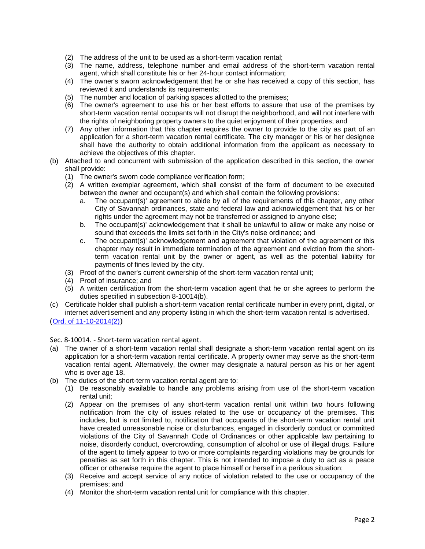- (2) The address of the unit to be used as a short-term vacation rental;
- (3) The name, address, telephone number and email address of the short-term vacation rental agent, which shall constitute his or her 24-hour contact information;
- (4) The owner's sworn acknowledgement that he or she has received a copy of this section, has reviewed it and understands its requirements;
- (5) The number and location of parking spaces allotted to the premises;
- (6) The owner's agreement to use his or her best efforts to assure that use of the premises by short-term vacation rental occupants will not disrupt the neighborhood, and will not interfere with the rights of neighboring property owners to the quiet enjoyment of their properties; and
- (7) Any other information that this chapter requires the owner to provide to the city as part of an application for a short-term vacation rental certificate. The city manager or his or her designee shall have the authority to obtain additional information from the applicant as necessary to achieve the objectives of this chapter.
- (b) Attached to and concurrent with submission of the application described in this section, the owner shall provide:
	- (1) The owner's sworn code compliance verification form;
	- (2) A written exemplar agreement, which shall consist of the form of document to be executed between the owner and occupant(s) and which shall contain the following provisions:
		- a. The occupant(s)' agreement to abide by all of the requirements of this chapter, any other City of Savannah ordinances, state and federal law and acknowledgement that his or her rights under the agreement may not be transferred or assigned to anyone else;
		- b. The occupant(s)' acknowledgement that it shall be unlawful to allow or make any noise or sound that exceeds the limits set forth in the City's noise ordinance; and
		- c. The occupant(s)' acknowledgement and agreement that violation of the agreement or this chapter may result in immediate termination of the agreement and eviction from the shortterm vacation rental unit by the owner or agent, as well as the potential liability for payments of fines levied by the city.
	- (3) Proof of the owner's current ownership of the short-term vacation rental unit;
	- (4) Proof of insurance; and
	- (5) A written certification from the short-term vacation agent that he or she agrees to perform the duties specified in subsection 8-10014(b).
- (c) Certificate holder shall publish a short-term vacation rental certificate number in every print, digital, or internet advertisement and any property listing in which the short-term vacation rental is advertised.

([Ord. of 11-10-2014\(2\)](http://newords.municode.com/readordinance.aspx?ordinanceid=741335&datasource=ordbank))

Sec. 8-10014. - Short-term vacation rental agent.

- (a) The owner of a short-term vacation rental shall designate a short-term vacation rental agent on its application for a short-term vacation rental certificate. A property owner may serve as the short-term vacation rental agent. Alternatively, the owner may designate a natural person as his or her agent who is over age 18.
- (b) The duties of the short-term vacation rental agent are to:
	- (1) Be reasonably available to handle any problems arising from use of the short-term vacation rental unit;
	- (2) Appear on the premises of any short-term vacation rental unit within two hours following notification from the city of issues related to the use or occupancy of the premises. This includes, but is not limited to, notification that occupants of the short-term vacation rental unit have created unreasonable noise or disturbances, engaged in disorderly conduct or committed violations of the City of Savannah Code of Ordinances or other applicable law pertaining to noise, disorderly conduct, overcrowding, consumption of alcohol or use of illegal drugs. Failure of the agent to timely appear to two or more complaints regarding violations may be grounds for penalties as set forth in this chapter. This is not intended to impose a duty to act as a peace officer or otherwise require the agent to place himself or herself in a perilous situation;
	- (3) Receive and accept service of any notice of violation related to the use or occupancy of the premises; and
	- (4) Monitor the short-term vacation rental unit for compliance with this chapter.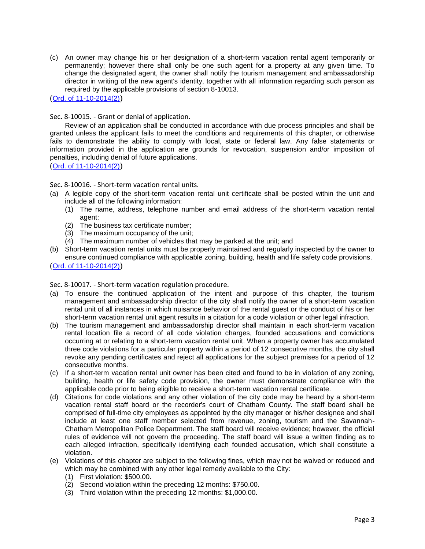(c) An owner may change his or her designation of a short-term vacation rental agent temporarily or permanently; however there shall only be one such agent for a property at any given time. To change the designated agent, the owner shall notify the tourism management and ambassadorship director in writing of the new agent's identity, together with all information regarding such person as required by the applicable provisions of section 8-10013.

([Ord. of 11-10-2014\(2\)](http://newords.municode.com/readordinance.aspx?ordinanceid=741335&datasource=ordbank))

Sec. 8-10015. - Grant or denial of application.

Review of an application shall be conducted in accordance with due process principles and shall be granted unless the applicant fails to meet the conditions and requirements of this chapter, or otherwise fails to demonstrate the ability to comply with local, state or federal law. Any false statements or information provided in the application are grounds for revocation, suspension and/or imposition of penalties, including denial of future applications.

([Ord. of 11-10-2014\(2\)](http://newords.municode.com/readordinance.aspx?ordinanceid=741335&datasource=ordbank))

Sec. 8-10016. - Short-term vacation rental units.

- (a) A legible copy of the short-term vacation rental unit certificate shall be posted within the unit and include all of the following information:
	- (1) The name, address, telephone number and email address of the short-term vacation rental agent:
	- (2) The business tax certificate number;
	- (3) The maximum occupancy of the unit;
	- (4) The maximum number of vehicles that may be parked at the unit; and
- (b) Short-term vacation rental units must be properly maintained and regularly inspected by the owner to ensure continued compliance with applicable zoning, building, health and life safety code provisions. ([Ord. of 11-10-2014\(2\)](http://newords.municode.com/readordinance.aspx?ordinanceid=741335&datasource=ordbank))

Sec. 8-10017. - Short-term vacation regulation procedure.

- (a) To ensure the continued application of the intent and purpose of this chapter, the tourism management and ambassadorship director of the city shall notify the owner of a short-term vacation rental unit of all instances in which nuisance behavior of the rental guest or the conduct of his or her short-term vacation rental unit agent results in a citation for a code violation or other legal infraction.
- (b) The tourism management and ambassadorship director shall maintain in each short-term vacation rental location file a record of all code violation charges, founded accusations and convictions occurring at or relating to a short-term vacation rental unit. When a property owner has accumulated three code violations for a particular property within a period of 12 consecutive months, the city shall revoke any pending certificates and reject all applications for the subject premises for a period of 12 consecutive months.
- (c) If a short-term vacation rental unit owner has been cited and found to be in violation of any zoning, building, health or life safety code provision, the owner must demonstrate compliance with the applicable code prior to being eligible to receive a short-term vacation rental certificate.
- (d) Citations for code violations and any other violation of the city code may be heard by a short-term vacation rental staff board or the recorder's court of Chatham County. The staff board shall be comprised of full-time city employees as appointed by the city manager or his/her designee and shall include at least one staff member selected from revenue, zoning, tourism and the Savannah-Chatham Metropolitan Police Department. The staff board will receive evidence; however, the official rules of evidence will not govern the proceeding. The staff board will issue a written finding as to each alleged infraction, specifically identifying each founded accusation, which shall constitute a violation.
- (e) Violations of this chapter are subject to the following fines, which may not be waived or reduced and which may be combined with any other legal remedy available to the City:
	- (1) First violation: \$500.00.
	- (2) Second violation within the preceding 12 months: \$750.00.
	- (3) Third violation within the preceding 12 months: \$1,000.00.